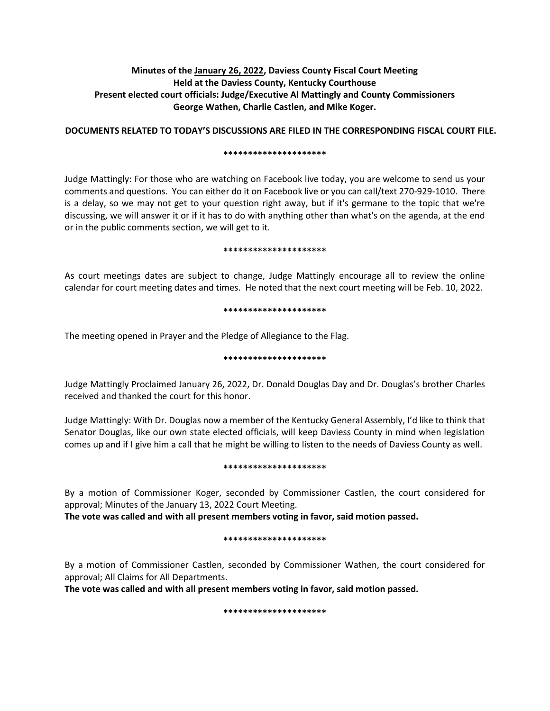# **Minutes of the January 26, 2022, Daviess County Fiscal Court Meeting Held at the Daviess County, Kentucky Courthouse Present elected court officials: Judge/Executive Al Mattingly and County Commissioners George Wathen, Charlie Castlen, and Mike Koger.**

**DOCUMENTS RELATED TO TODAY'S DISCUSSIONS ARE FILED IN THE CORRESPONDING FISCAL COURT FILE.**

### **\*\*\*\*\*\*\*\*\*\*\*\*\*\*\*\*\*\*\*\*\***

Judge Mattingly: For those who are watching on Facebook live today, you are welcome to send us your comments and questions. You can either do it on Facebook live or you can call/text 270-929-1010. There is a delay, so we may not get to your question right away, but if it's germane to the topic that we're discussing, we will answer it or if it has to do with anything other than what's on the agenda, at the end or in the public comments section, we will get to it.

### **\*\*\*\*\*\*\*\*\*\*\*\*\*\*\*\*\*\*\*\*\***

As court meetings dates are subject to change, Judge Mattingly encourage all to review the online calendar for court meeting dates and times. He noted that the next court meeting will be Feb. 10, 2022.

### **\*\*\*\*\*\*\*\*\*\*\*\*\*\*\*\*\*\*\*\*\***

The meeting opened in Prayer and the Pledge of Allegiance to the Flag.

## **\*\*\*\*\*\*\*\*\*\*\*\*\*\*\*\*\*\*\*\*\***

Judge Mattingly Proclaimed January 26, 2022, Dr. Donald Douglas Day and Dr. Douglas's brother Charles received and thanked the court for this honor.

Judge Mattingly: With Dr. Douglas now a member of the Kentucky General Assembly, I'd like to think that Senator Douglas, like our own state elected officials, will keep Daviess County in mind when legislation comes up and if I give him a call that he might be willing to listen to the needs of Daviess County as well.

#### **\*\*\*\*\*\*\*\*\*\*\*\*\*\*\*\*\*\*\*\*\***

By a motion of Commissioner Koger, seconded by Commissioner Castlen, the court considered for approval; Minutes of the January 13, 2022 Court Meeting.

**The vote was called and with all present members voting in favor, said motion passed.** 

## **\*\*\*\*\*\*\*\*\*\*\*\*\*\*\*\*\*\*\*\*\***

By a motion of Commissioner Castlen, seconded by Commissioner Wathen, the court considered for approval; All Claims for All Departments.

**The vote was called and with all present members voting in favor, said motion passed.** 

**\*\*\*\*\*\*\*\*\*\*\*\*\*\*\*\*\*\*\*\*\***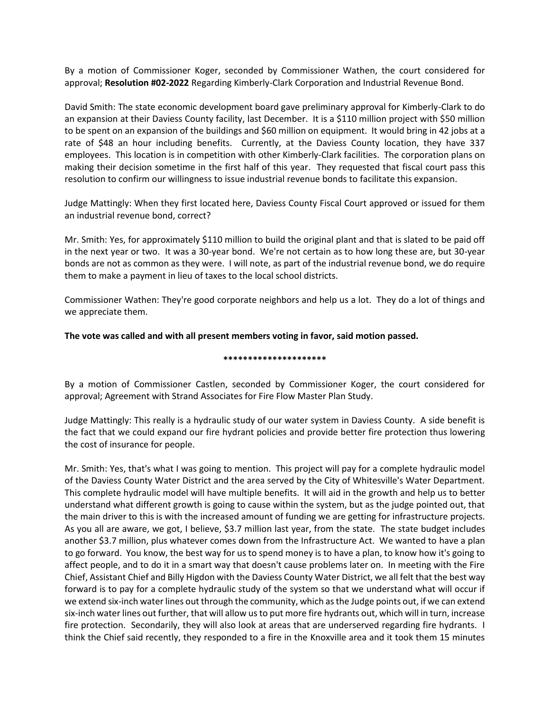By a motion of Commissioner Koger, seconded by Commissioner Wathen, the court considered for approval; **Resolution #02-2022** Regarding Kimberly-Clark Corporation and Industrial Revenue Bond.

David Smith: The state economic development board gave preliminary approval for Kimberly-Clark to do an expansion at their Daviess County facility, last December. It is a \$110 million project with \$50 million to be spent on an expansion of the buildings and \$60 million on equipment. It would bring in 42 jobs at a rate of \$48 an hour including benefits. Currently, at the Daviess County location, they have 337 employees. This location is in competition with other Kimberly-Clark facilities. The corporation plans on making their decision sometime in the first half of this year. They requested that fiscal court pass this resolution to confirm our willingness to issue industrial revenue bonds to facilitate this expansion.

Judge Mattingly: When they first located here, Daviess County Fiscal Court approved or issued for them an industrial revenue bond, correct?

Mr. Smith: Yes, for approximately \$110 million to build the original plant and that is slated to be paid off in the next year or two. It was a 30-year bond. We're not certain as to how long these are, but 30-year bonds are not as common as they were. I will note, as part of the industrial revenue bond, we do require them to make a payment in lieu of taxes to the local school districts.

Commissioner Wathen: They're good corporate neighbors and help us a lot. They do a lot of things and we appreciate them.

**The vote was called and with all present members voting in favor, said motion passed.**

#### **\*\*\*\*\*\*\*\*\*\*\*\*\*\*\*\*\*\*\*\*\***

By a motion of Commissioner Castlen, seconded by Commissioner Koger, the court considered for approval; Agreement with Strand Associates for Fire Flow Master Plan Study.

Judge Mattingly: This really is a hydraulic study of our water system in Daviess County. A side benefit is the fact that we could expand our fire hydrant policies and provide better fire protection thus lowering the cost of insurance for people.

Mr. Smith: Yes, that's what I was going to mention. This project will pay for a complete hydraulic model of the Daviess County Water District and the area served by the City of Whitesville's Water Department. This complete hydraulic model will have multiple benefits. It will aid in the growth and help us to better understand what different growth is going to cause within the system, but as the judge pointed out, that the main driver to this is with the increased amount of funding we are getting for infrastructure projects. As you all are aware, we got, I believe, \$3.7 million last year, from the state. The state budget includes another \$3.7 million, plus whatever comes down from the Infrastructure Act. We wanted to have a plan to go forward. You know, the best way for us to spend money is to have a plan, to know how it's going to affect people, and to do it in a smart way that doesn't cause problems later on. In meeting with the Fire Chief, Assistant Chief and Billy Higdon with the Daviess County Water District, we all felt that the best way forward is to pay for a complete hydraulic study of the system so that we understand what will occur if we extend six-inch water lines out through the community, which as the Judge points out, if we can extend six-inch water lines out further, that will allow us to put more fire hydrants out, which will in turn, increase fire protection. Secondarily, they will also look at areas that are underserved regarding fire hydrants. I think the Chief said recently, they responded to a fire in the Knoxville area and it took them 15 minutes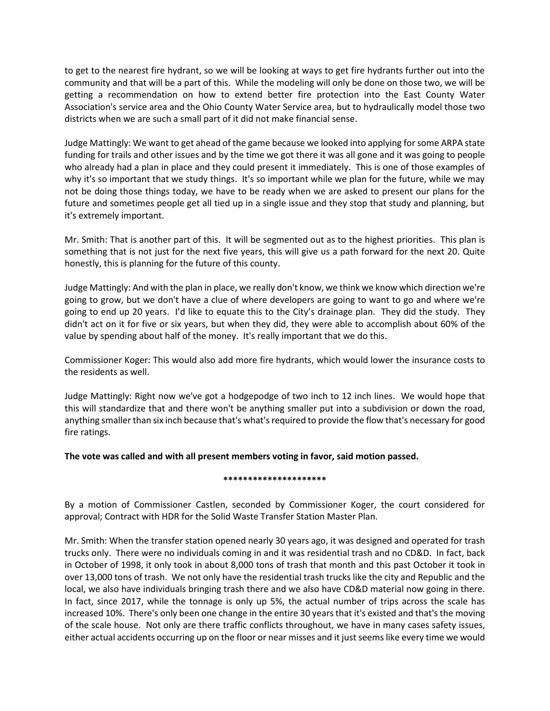to get to the nearest fire hydrant, so we will be looking at ways to get fire hydrants further out into the community and that will be a part of this. While the modeling will only be done on those two, we will be getting a recommendation on how to extend better fire protection into the East County Water Association's service area and the Ohio County Water Service area, but to hydraulically model those two districts when we are such a small part of it did not make financial sense.

Judge Mattingly: We want to get ahead of the game because we looked into applying for some ARPA state funding for trails and other issues and by the time we got there it was all gone and it was going to people who already had a plan in place and they could present it immediately. This is one of those examples of why it's so important that we study things. It's so important while we plan for the future, while we may not be doing those things today, we have to be ready when we are asked to present our plans for the future and sometimes people get all tied up in a single issue and they stop that study and planning, but it's extremely important.

Mr. Smith: That is another part of this. It will be segmented out as to the highest priorities. This plan is something that is not just for the next five years, this will give us a path forward for the next 20. Quite honestly, this is planning for the future of this county.

Judge Mattingly: And with the plan in place, we really don't know, we think we know which direction we're going to grow, but we don't have a clue of where developers are going to want to go and where we're going to end up 20 years. I'd like to equate this to the City's drainage plan. They did the study. They didn't act on it for five or six years, but when they did, they were able to accomplish about 60% of the value by spending about half of the money. It's really important that we do this.

Commissioner Koger: This would also add more fire hydrants, which would lower the insurance costs to the residents as well.

Judge Mattingly: Right now we've got a hodgepodge of two inch to 12 inch lines. We would hope that this will standardize that and there won't be anything smaller put into a subdivision or down the road, anything smaller than six inch because that's what's required to provide the flow that's necessary for good fire ratings.

**The vote was called and with all present members voting in favor, said motion passed.**

## **\*\*\*\*\*\*\*\*\*\*\*\*\*\*\*\*\*\*\*\*\***

By a motion of Commissioner Castlen, seconded by Commissioner Koger, the court considered for approval; Contract with HDR for the Solid Waste Transfer Station Master Plan.

Mr. Smith: When the transfer station opened nearly 30 years ago, it was designed and operated for trash trucks only. There were no individuals coming in and it was residential trash and no CD&D. In fact, back in October of 1998, it only took in about 8,000 tons of trash that month and this past October it took in over 13,000 tons of trash. We not only have the residential trash trucks like the city and Republic and the local, we also have individuals bringing trash there and we also have CD&D material now going in there. In fact, since 2017, while the tonnage is only up 5%, the actual number of trips across the scale has increased 10%. There's only been one change in the entire 30 years that it's existed and that's the moving of the scale house. Not only are there traffic conflicts throughout, we have in many cases safety issues, either actual accidents occurring up on the floor or near misses and it just seems like every time we would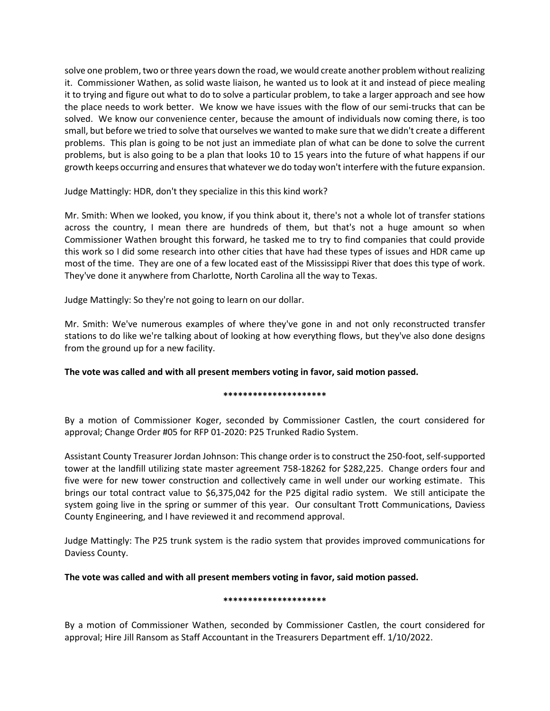solve one problem, two or three years down the road, we would create another problem without realizing it. Commissioner Wathen, as solid waste liaison, he wanted us to look at it and instead of piece mealing it to trying and figure out what to do to solve a particular problem, to take a larger approach and see how the place needs to work better. We know we have issues with the flow of our semi-trucks that can be solved. We know our convenience center, because the amount of individuals now coming there, is too small, but before we tried to solve that ourselves we wanted to make sure that we didn't create a different problems. This plan is going to be not just an immediate plan of what can be done to solve the current problems, but is also going to be a plan that looks 10 to 15 years into the future of what happens if our growth keeps occurring and ensures that whatever we do today won't interfere with the future expansion.

Judge Mattingly: HDR, don't they specialize in this this kind work?

Mr. Smith: When we looked, you know, if you think about it, there's not a whole lot of transfer stations across the country, I mean there are hundreds of them, but that's not a huge amount so when Commissioner Wathen brought this forward, he tasked me to try to find companies that could provide this work so I did some research into other cities that have had these types of issues and HDR came up most of the time. They are one of a few located east of the Mississippi River that does this type of work. They've done it anywhere from Charlotte, North Carolina all the way to Texas.

Judge Mattingly: So they're not going to learn on our dollar.

Mr. Smith: We've numerous examples of where they've gone in and not only reconstructed transfer stations to do like we're talking about of looking at how everything flows, but they've also done designs from the ground up for a new facility.

**The vote was called and with all present members voting in favor, said motion passed.**

## **\*\*\*\*\*\*\*\*\*\*\*\*\*\*\*\*\*\*\*\*\***

By a motion of Commissioner Koger, seconded by Commissioner Castlen, the court considered for approval; Change Order #05 for RFP 01-2020: P25 Trunked Radio System.

Assistant County Treasurer Jordan Johnson: This change order is to construct the 250-foot, self-supported tower at the landfill utilizing state master agreement 758-18262 for \$282,225. Change orders four and five were for new tower construction and collectively came in well under our working estimate. This brings our total contract value to \$6,375,042 for the P25 digital radio system. We still anticipate the system going live in the spring or summer of this year. Our consultant Trott Communications, Daviess County Engineering, and I have reviewed it and recommend approval.

Judge Mattingly: The P25 trunk system is the radio system that provides improved communications for Daviess County.

**The vote was called and with all present members voting in favor, said motion passed.**

#### **\*\*\*\*\*\*\*\*\*\*\*\*\*\*\*\*\*\*\*\*\***

By a motion of Commissioner Wathen, seconded by Commissioner Castlen, the court considered for approval; Hire Jill Ransom as Staff Accountant in the Treasurers Department eff. 1/10/2022.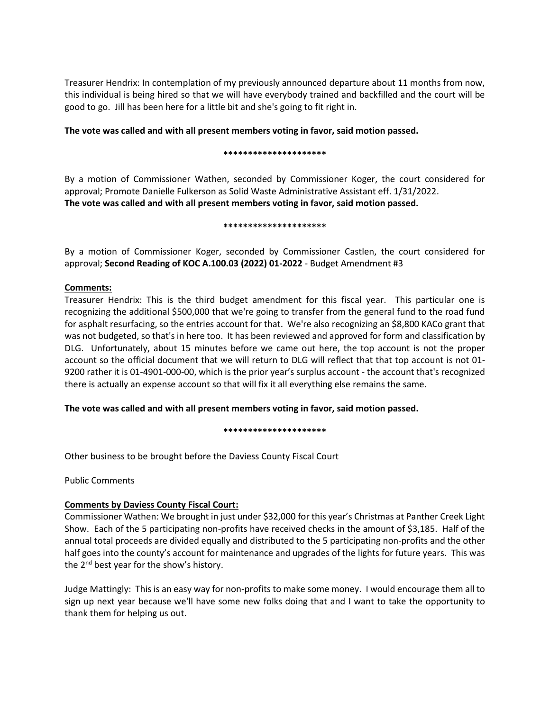Treasurer Hendrix: In contemplation of my previously announced departure about 11 months from now, this individual is being hired so that we will have everybody trained and backfilled and the court will be good to go. Jill has been here for a little bit and she's going to fit right in.

**The vote was called and with all present members voting in favor, said motion passed.**

## **\*\*\*\*\*\*\*\*\*\*\*\*\*\*\*\*\*\*\*\*\***

By a motion of Commissioner Wathen, seconded by Commissioner Koger, the court considered for approval; Promote Danielle Fulkerson as Solid Waste Administrative Assistant eff. 1/31/2022. **The vote was called and with all present members voting in favor, said motion passed.**

## **\*\*\*\*\*\*\*\*\*\*\*\*\*\*\*\*\*\*\*\*\***

By a motion of Commissioner Koger, seconded by Commissioner Castlen, the court considered for approval; **Second Reading of KOC A.100.03 (2022) 01-2022** - Budget Amendment #3

## **Comments:**

Treasurer Hendrix: This is the third budget amendment for this fiscal year. This particular one is recognizing the additional \$500,000 that we're going to transfer from the general fund to the road fund for asphalt resurfacing, so the entries account for that. We're also recognizing an \$8,800 KACo grant that was not budgeted, so that's in here too. It has been reviewed and approved for form and classification by DLG. Unfortunately, about 15 minutes before we came out here, the top account is not the proper account so the official document that we will return to DLG will reflect that that top account is not 01- 9200 rather it is 01-4901-000-00, which is the prior year's surplus account - the account that's recognized there is actually an expense account so that will fix it all everything else remains the same.

**The vote was called and with all present members voting in favor, said motion passed.**

**\*\*\*\*\*\*\*\*\*\*\*\*\*\*\*\*\*\*\*\*\***

Other business to be brought before the Daviess County Fiscal Court

Public Comments

# **Comments by Daviess County Fiscal Court:**

Commissioner Wathen: We brought in just under \$32,000 for this year's Christmas at Panther Creek Light Show. Each of the 5 participating non-profits have received checks in the amount of \$3,185. Half of the annual total proceeds are divided equally and distributed to the 5 participating non-profits and the other half goes into the county's account for maintenance and upgrades of the lights for future years. This was the  $2^{nd}$  best year for the show's history.

Judge Mattingly: This is an easy way for non-profits to make some money. I would encourage them all to sign up next year because we'll have some new folks doing that and I want to take the opportunity to thank them for helping us out.